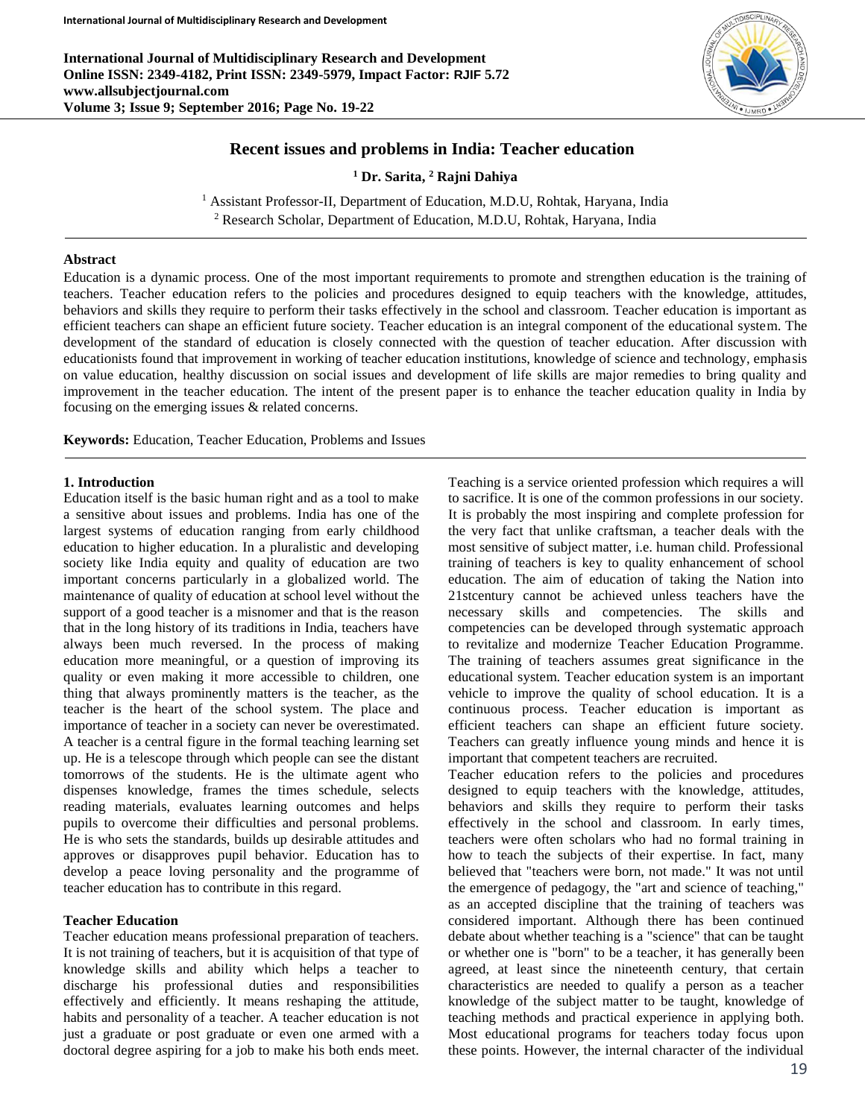**International Journal of Multidisciplinary Research and Development Online ISSN: 2349-4182, Print ISSN: 2349-5979, Impact Factor: RJIF 5.72 www.allsubjectjournal.com Volume 3; Issue 9; September 2016; Page No. 19-22**



# **Recent issues and problems in India: Teacher education**

**<sup>1</sup> Dr. Sarita, <sup>2</sup> Rajni Dahiya**

<sup>1</sup> Assistant Professor-II, Department of Education, M.D.U, Rohtak, Haryana, India <sup>2</sup> Research Scholar, Department of Education, M.D.U, Rohtak, Haryana, India

#### **Abstract**

Education is a dynamic process. One of the most important requirements to promote and strengthen education is the training of teachers. Teacher education refers to the policies and procedures designed to equip teachers with the knowledge, attitudes, behaviors and skills they require to perform their tasks effectively in the school and classroom. Teacher education is important as efficient teachers can shape an efficient future society. Teacher education is an integral component of the educational system. The development of the standard of education is closely connected with the question of teacher education. After discussion with educationists found that improvement in working of teacher education institutions, knowledge of science and technology, emphasis on value education, healthy discussion on social issues and development of life skills are major remedies to bring quality and improvement in the teacher education. The intent of the present paper is to enhance the teacher education quality in India by focusing on the emerging issues & related concerns.

**Keywords:** Education, Teacher Education, Problems and Issues

#### **1. Introduction**

Education itself is the basic human right and as a tool to make a sensitive about issues and problems. India has one of the largest systems of education ranging from early childhood education to higher education. In a pluralistic and developing society like India equity and quality of education are two important concerns particularly in a globalized world. The maintenance of quality of education at school level without the support of a good teacher is a misnomer and that is the reason that in the long history of its traditions in India, teachers have always been much reversed. In the process of making education more meaningful, or a question of improving its quality or even making it more accessible to children, one thing that always prominently matters is the teacher, as the teacher is the heart of the school system. The place and importance of teacher in a society can never be overestimated. A teacher is a central figure in the formal teaching learning set up. He is a telescope through which people can see the distant tomorrows of the students. He is the ultimate agent who dispenses knowledge, frames the times schedule, selects reading materials, evaluates learning outcomes and helps pupils to overcome their difficulties and personal problems. He is who sets the standards, builds up desirable attitudes and approves or disapproves pupil behavior. Education has to develop a peace loving personality and the programme of teacher education has to contribute in this regard.

#### **Teacher Education**

Teacher education means professional preparation of teachers. It is not training of teachers, but it is acquisition of that type of knowledge skills and ability which helps a teacher to discharge his professional duties and responsibilities effectively and efficiently. It means reshaping the attitude, habits and personality of a teacher. A teacher education is not just a graduate or post graduate or even one armed with a doctoral degree aspiring for a job to make his both ends meet.

Teaching is a service oriented profession which requires a will to sacrifice. It is one of the common professions in our society. It is probably the most inspiring and complete profession for the very fact that unlike craftsman, a teacher deals with the most sensitive of subject matter, i.e. human child. Professional training of teachers is key to quality enhancement of school education. The aim of education of taking the Nation into 21stcentury cannot be achieved unless teachers have the necessary skills and competencies. The skills and competencies can be developed through systematic approach to revitalize and modernize Teacher Education Programme. The training of teachers assumes great significance in the educational system. Teacher education system is an important vehicle to improve the quality of school education. It is a continuous process. Teacher education is important as efficient teachers can shape an efficient future society. Teachers can greatly influence young minds and hence it is important that competent teachers are recruited.

Teacher education refers to the policies and procedures designed to equip teachers with the knowledge, attitudes, behaviors and skills they require to perform their tasks effectively in the school and classroom. In early times, teachers were often scholars who had no formal training in how to teach the subjects of their expertise. In fact, many believed that "teachers were born, not made." It was not until the emergence of pedagogy, the "art and science of teaching," as an accepted discipline that the training of teachers was considered important. Although there has been continued debate about whether teaching is a "science" that can be taught or whether one is "born" to be a teacher, it has generally been agreed, at least since the nineteenth century, that certain characteristics are needed to qualify a person as a teacher knowledge of the subject matter to be taught, knowledge of teaching methods and practical experience in applying both. Most educational programs for teachers today focus upon these points. However, the internal character of the individual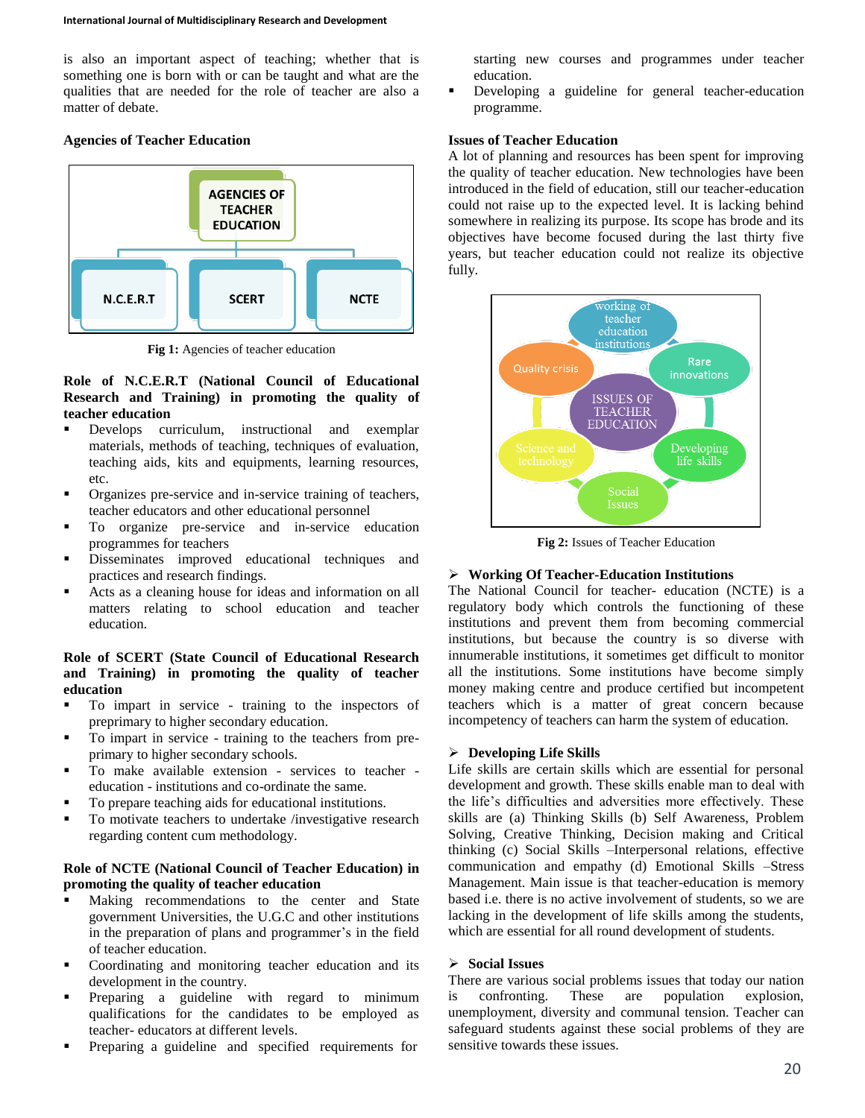is also an important aspect of teaching; whether that is something one is born with or can be taught and what are the qualities that are needed for the role of teacher are also a matter of debate.

# **Agencies of Teacher Education**



Fig 1: Agencies of teacher education

### **Role of N.C.E.R.T (National Council of Educational Research and Training) in promoting the quality of teacher education**

- Develops curriculum, instructional and exemplar materials, methods of teaching, techniques of evaluation, teaching aids, kits and equipments, learning resources, etc.
- Organizes pre-service and in-service training of teachers, teacher educators and other educational personnel
- $\blacksquare$  To organize pre-service and in-service education programmes for teachers
- Disseminates improved educational techniques and practices and research findings.
- Acts as a cleaning house for ideas and information on all matters relating to school education and teacher education.

# **Role of SCERT (State Council of Educational Research and Training) in promoting the quality of teacher education**

- To impart in service training to the inspectors of preprimary to higher secondary education.
- To impart in service training to the teachers from preprimary to higher secondary schools.
- To make available extension services to teacher education - institutions and co-ordinate the same.
- To prepare teaching aids for educational institutions.
- To motivate teachers to undertake /investigative research regarding content cum methodology.

# **Role of NCTE (National Council of Teacher Education) in promoting the quality of teacher education**

- Making recommendations to the center and State government Universities, the U.G.C and other institutions in the preparation of plans and programmer's in the field of teacher education.
- Coordinating and monitoring teacher education and its development in the country.
- **Preparing a guideline with regard to minimum** qualifications for the candidates to be employed as teacher- educators at different levels.
- Preparing a guideline and specified requirements for

starting new courses and programmes under teacher education.

 Developing a guideline for general teacher-education programme.

# **Issues of Teacher Education**

A lot of planning and resources has been spent for improving the quality of teacher education. New technologies have been introduced in the field of education, still our teacher-education could not raise up to the expected level. It is lacking behind somewhere in realizing its purpose. Its scope has brode and its objectives have become focused during the last thirty five years, but teacher education could not realize its objective fully.



**Fig 2:** Issues of Teacher Education

# **Working Of Teacher-Education Institutions**

The National Council for teacher- education (NCTE) is a regulatory body which controls the functioning of these institutions and prevent them from becoming commercial institutions, but because the country is so diverse with innumerable institutions, it sometimes get difficult to monitor all the institutions. Some institutions have become simply money making centre and produce certified but incompetent teachers which is a matter of great concern because incompetency of teachers can harm the system of education.

# **Developing Life Skills**

Life skills are certain skills which are essential for personal development and growth. These skills enable man to deal with the life's difficulties and adversities more effectively. These skills are (a) Thinking Skills (b) Self Awareness, Problem Solving, Creative Thinking, Decision making and Critical thinking (c) Social Skills –Interpersonal relations, effective communication and empathy (d) Emotional Skills –Stress Management. Main issue is that teacher-education is memory based i.e. there is no active involvement of students, so we are lacking in the development of life skills among the students, which are essential for all round development of students.

# **Social Issues**

There are various social problems issues that today our nation is confronting. These are population explosion, unemployment, diversity and communal tension. Teacher can safeguard students against these social problems of they are sensitive towards these issues.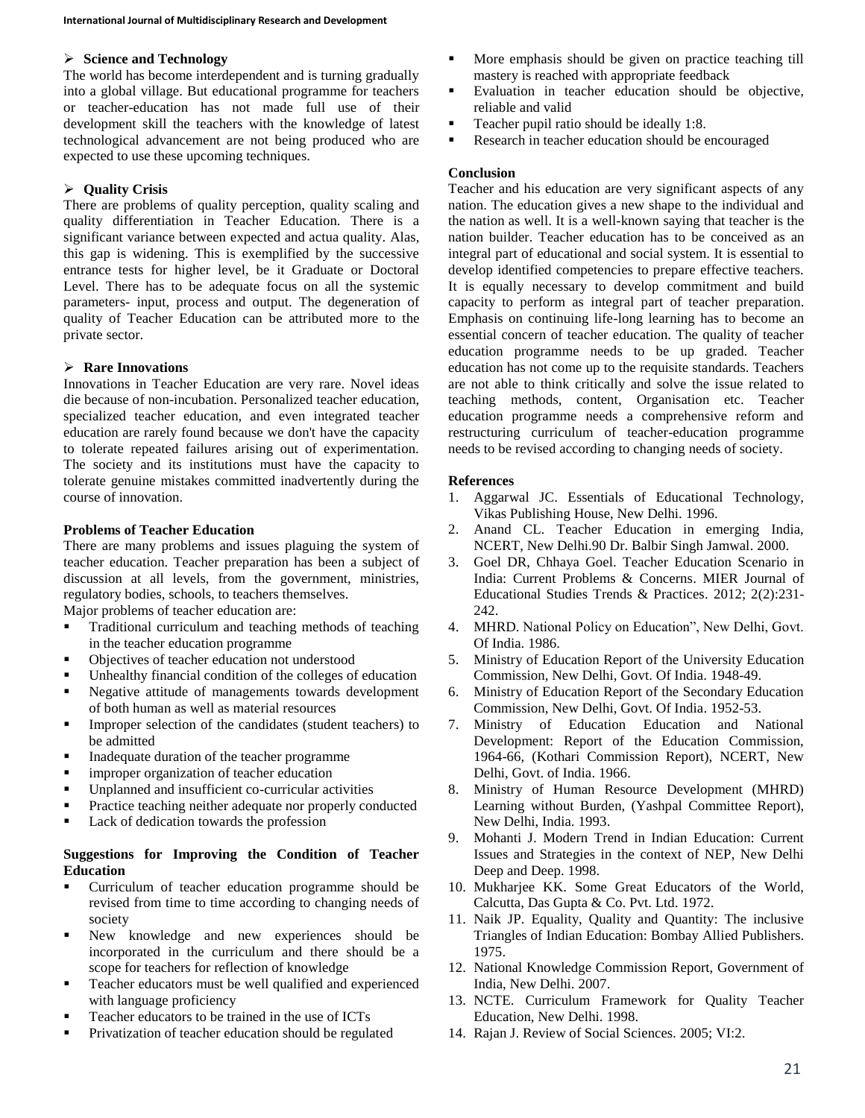#### **Science and Technology**

The world has become interdependent and is turning gradually into a global village. But educational programme for teachers or teacher-education has not made full use of their development skill the teachers with the knowledge of latest technological advancement are not being produced who are expected to use these upcoming techniques.

# **Quality Crisis**

There are problems of quality perception, quality scaling and quality differentiation in Teacher Education. There is a significant variance between expected and actua quality. Alas, this gap is widening. This is exemplified by the successive entrance tests for higher level, be it Graduate or Doctoral Level. There has to be adequate focus on all the systemic parameters- input, process and output. The degeneration of quality of Teacher Education can be attributed more to the private sector.

#### **Rare Innovations**

Innovations in Teacher Education are very rare. Novel ideas die because of non-incubation. Personalized teacher education, specialized teacher education, and even integrated teacher education are rarely found because we don't have the capacity to tolerate repeated failures arising out of experimentation. The society and its institutions must have the capacity to tolerate genuine mistakes committed inadvertently during the course of innovation.

#### **Problems of Teacher Education**

There are many problems and issues plaguing the system of teacher education. Teacher preparation has been a subject of discussion at all levels, from the government, ministries, regulatory bodies, schools, to teachers themselves.

Major problems of teacher education are:

- **Traditional curriculum and teaching methods of teaching** in the teacher education programme
- Objectives of teacher education not understood
- Unhealthy financial condition of the colleges of education
- Negative attitude of managements towards development of both human as well as material resources
- **Improper selection of the candidates (student teachers) to** be admitted
- Inadequate duration of the teacher programme
- **improper organization of teacher education**
- Unplanned and insufficient co-curricular activities
- Practice teaching neither adequate nor properly conducted
- **Lack of dedication towards the profession**

# **Suggestions for Improving the Condition of Teacher Education**

- Curriculum of teacher education programme should be revised from time to time according to changing needs of society
- New knowledge and new experiences should be incorporated in the curriculum and there should be a scope for teachers for reflection of knowledge
- **Teacher educators must be well qualified and experienced** with language proficiency
- Teacher educators to be trained in the use of ICTs
- Privatization of teacher education should be regulated
- More emphasis should be given on practice teaching till mastery is reached with appropriate feedback
- Evaluation in teacher education should be objective, reliable and valid
- Teacher pupil ratio should be ideally 1:8.
- Research in teacher education should be encouraged

#### **Conclusion**

Teacher and his education are very significant aspects of any nation. The education gives a new shape to the individual and the nation as well. It is a well-known saying that teacher is the nation builder. Teacher education has to be conceived as an integral part of educational and social system. It is essential to develop identified competencies to prepare effective teachers. It is equally necessary to develop commitment and build capacity to perform as integral part of teacher preparation. Emphasis on continuing life-long learning has to become an essential concern of teacher education. The quality of teacher education programme needs to be up graded. Teacher education has not come up to the requisite standards. Teachers are not able to think critically and solve the issue related to teaching methods, content, Organisation etc. Teacher education programme needs a comprehensive reform and restructuring curriculum of teacher-education programme needs to be revised according to changing needs of society.

#### **References**

- 1. Aggarwal JC. Essentials of Educational Technology, Vikas Publishing House, New Delhi. 1996.
- 2. Anand CL. Teacher Education in emerging India, NCERT, New Delhi.90 Dr. Balbir Singh Jamwal. 2000.
- 3. Goel DR, Chhaya Goel. Teacher Education Scenario in India: Current Problems & Concerns. MIER Journal of Educational Studies Trends & Practices. 2012; 2(2):231- 242.
- 4. MHRD. National Policy on Education", New Delhi, Govt. Of India. 1986.
- 5. Ministry of Education Report of the University Education Commission, New Delhi, Govt. Of India. 1948-49.
- 6. Ministry of Education Report of the Secondary Education Commission, New Delhi, Govt. Of India. 1952-53.
- 7. Ministry of Education Education and National Development: Report of the Education Commission, 1964-66, (Kothari Commission Report), NCERT, New Delhi, Govt. of India. 1966.
- 8. Ministry of Human Resource Development (MHRD) Learning without Burden, (Yashpal Committee Report), New Delhi, India. 1993.
- 9. Mohanti J. Modern Trend in Indian Education: Current Issues and Strategies in the context of NEP, New Delhi Deep and Deep. 1998.
- 10. Mukharjee KK. Some Great Educators of the World, Calcutta, Das Gupta & Co. Pvt. Ltd. 1972.
- 11. Naik JP. Equality, Quality and Quantity: The inclusive Triangles of Indian Education: Bombay Allied Publishers. 1975.
- 12. National Knowledge Commission Report, Government of India, New Delhi. 2007.
- 13. NCTE. Curriculum Framework for Quality Teacher Education, New Delhi. 1998.
- 14. Rajan J. Review of Social Sciences. 2005; VI:2.